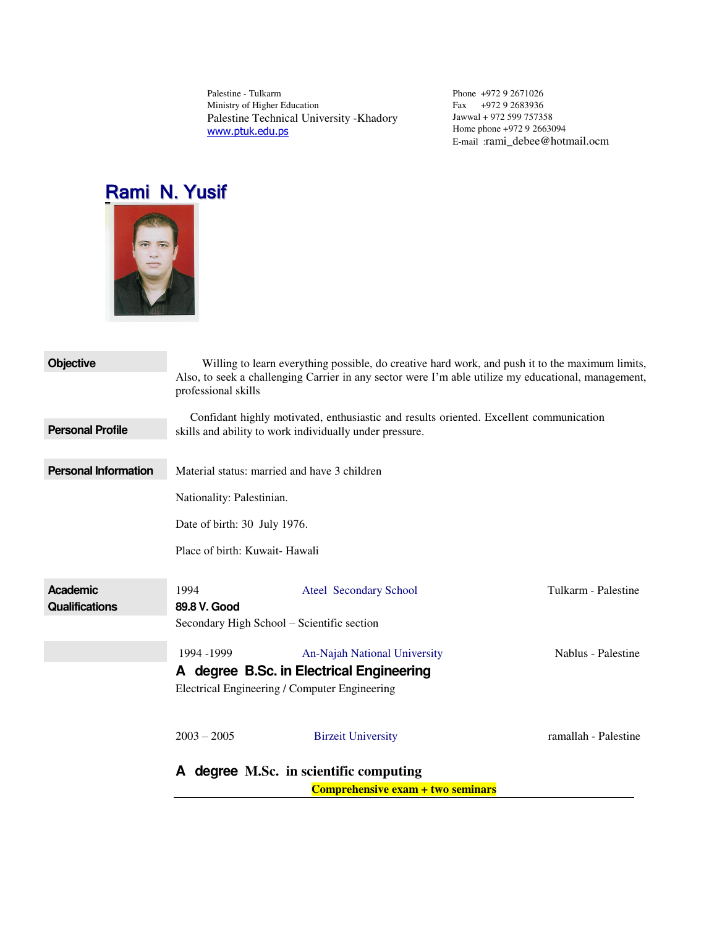Palestine - Tulkarm Ministry of Higher Education Palestine Technical University -Khadory www.ptuk.edu.ps

Phone +972 9 2671026 Fax +972 9 2683936 Jawwal + 972 599 757358 Home phone +972 9 2663094 E-mail :rami\_debee@hotmail.ocm

# Rami N. Yusif



| <b>Objective</b>            | professional skills                                                                                                                               | Willing to learn everything possible, do creative hard work, and push it to the maximum limits,<br>Also, to seek a challenging Carrier in any sector were I'm able utilize my educational, management, |                      |  |
|-----------------------------|---------------------------------------------------------------------------------------------------------------------------------------------------|--------------------------------------------------------------------------------------------------------------------------------------------------------------------------------------------------------|----------------------|--|
| <b>Personal Profile</b>     | Confidant highly motivated, enthusiastic and results oriented. Excellent communication<br>skills and ability to work individually under pressure. |                                                                                                                                                                                                        |                      |  |
|                             |                                                                                                                                                   |                                                                                                                                                                                                        |                      |  |
| <b>Personal Information</b> | Material status: married and have 3 children                                                                                                      |                                                                                                                                                                                                        |                      |  |
|                             | Nationality: Palestinian.                                                                                                                         |                                                                                                                                                                                                        |                      |  |
|                             | Date of birth: 30 July 1976.                                                                                                                      |                                                                                                                                                                                                        |                      |  |
|                             | Place of birth: Kuwait-Hawali                                                                                                                     |                                                                                                                                                                                                        |                      |  |
| <b>Academic</b>             | 1994                                                                                                                                              | Ateel Secondary School                                                                                                                                                                                 | Tulkarm - Palestine  |  |
| <b>Qualifications</b>       | 89.8 V. Good                                                                                                                                      |                                                                                                                                                                                                        |                      |  |
|                             | Secondary High School - Scientific section                                                                                                        |                                                                                                                                                                                                        |                      |  |
|                             | 1994 -1999                                                                                                                                        | <b>An-Najah National University</b>                                                                                                                                                                    | Nablus - Palestine   |  |
|                             |                                                                                                                                                   | A degree B.Sc. in Electrical Engineering                                                                                                                                                               |                      |  |
|                             | Electrical Engineering / Computer Engineering                                                                                                     |                                                                                                                                                                                                        |                      |  |
|                             | $2003 - 2005$                                                                                                                                     | <b>Birzeit University</b>                                                                                                                                                                              | ramallah - Palestine |  |
|                             | A                                                                                                                                                 | degree M.Sc. in scientific computing                                                                                                                                                                   |                      |  |
|                             | <b>Comprehensive exam + two seminars</b>                                                                                                          |                                                                                                                                                                                                        |                      |  |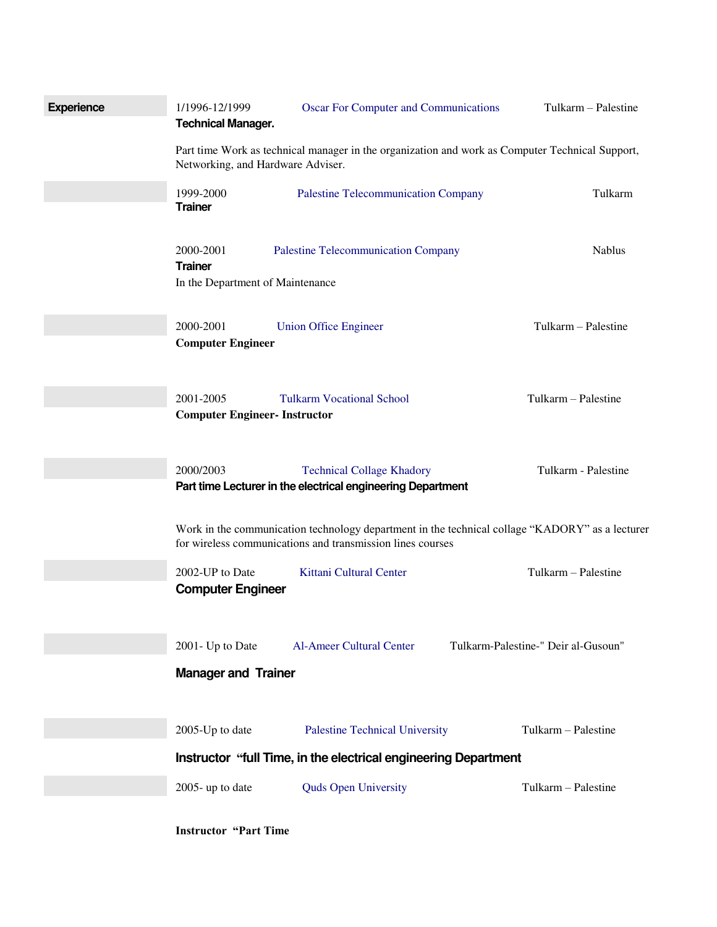| <b>Experience</b> | 1/1996-12/1999<br><b>Technical Manager.</b>                                                                                          | <b>Oscar For Computer and Communications</b>                                                                                                                  |  | Tulkarm - Palestine                 |  |
|-------------------|--------------------------------------------------------------------------------------------------------------------------------------|---------------------------------------------------------------------------------------------------------------------------------------------------------------|--|-------------------------------------|--|
|                   | Part time Work as technical manager in the organization and work as Computer Technical Support,<br>Networking, and Hardware Adviser. |                                                                                                                                                               |  |                                     |  |
|                   | 1999-2000<br><b>Trainer</b>                                                                                                          | <b>Palestine Telecommunication Company</b>                                                                                                                    |  | Tulkarm                             |  |
|                   | 2000-2001<br><b>Trainer</b><br>In the Department of Maintenance                                                                      | <b>Palestine Telecommunication Company</b>                                                                                                                    |  | Nablus                              |  |
|                   |                                                                                                                                      |                                                                                                                                                               |  |                                     |  |
|                   | 2000-2001<br><b>Computer Engineer</b>                                                                                                | <b>Union Office Engineer</b>                                                                                                                                  |  | Tulkarm - Palestine                 |  |
|                   |                                                                                                                                      |                                                                                                                                                               |  |                                     |  |
|                   | 2001-2005<br><b>Computer Engineer- Instructor</b>                                                                                    | <b>Tulkarm Vocational School</b>                                                                                                                              |  | Tulkarm - Palestine                 |  |
|                   |                                                                                                                                      |                                                                                                                                                               |  |                                     |  |
|                   | 2000/2003                                                                                                                            | <b>Technical Collage Khadory</b><br>Part time Lecturer in the electrical engineering Department                                                               |  | Tulkarm - Palestine                 |  |
|                   |                                                                                                                                      | Work in the communication technology department in the technical collage "KADORY" as a lecturer<br>for wireless communications and transmission lines courses |  |                                     |  |
|                   | 2002-UP to Date<br><b>Computer Engineer</b>                                                                                          | Kittani Cultural Center                                                                                                                                       |  | Tulkarm - Palestine                 |  |
|                   | 2001- Up to Date                                                                                                                     | <b>Al-Ameer Cultural Center</b>                                                                                                                               |  | Tulkarm-Palestine-" Deir al-Gusoun" |  |
|                   | <b>Manager and Trainer</b>                                                                                                           |                                                                                                                                                               |  |                                     |  |
|                   | 2005-Up to date                                                                                                                      | <b>Palestine Technical University</b>                                                                                                                         |  | Tulkarm - Palestine                 |  |
|                   |                                                                                                                                      | Instructor "full Time, in the electrical engineering Department                                                                                               |  |                                     |  |
|                   | 2005-up to date                                                                                                                      | <b>Quds Open University</b>                                                                                                                                   |  | Tulkarm - Palestine                 |  |
|                   |                                                                                                                                      |                                                                                                                                                               |  |                                     |  |

**Instructor "Part Time**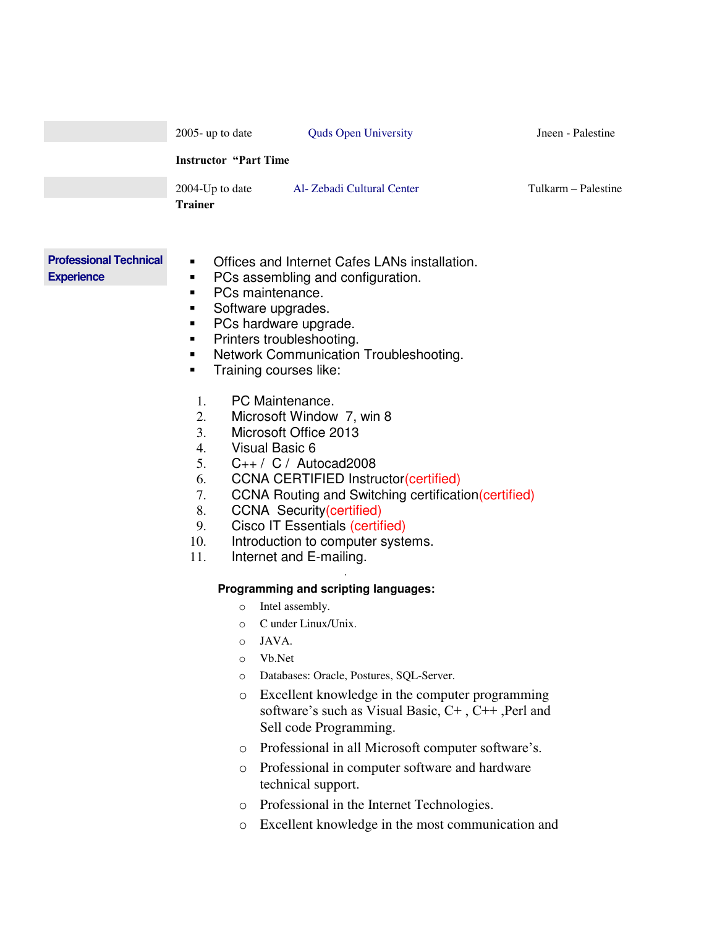|                                                    | 2005-up to date                                                                                 | <b>Quds Open University</b>                                                                                                                                                                                                                                                                                                                                                                                                                                  | Jneen - Palestine   |
|----------------------------------------------------|-------------------------------------------------------------------------------------------------|--------------------------------------------------------------------------------------------------------------------------------------------------------------------------------------------------------------------------------------------------------------------------------------------------------------------------------------------------------------------------------------------------------------------------------------------------------------|---------------------|
|                                                    | <b>Instructor "Part Time</b>                                                                    |                                                                                                                                                                                                                                                                                                                                                                                                                                                              |                     |
|                                                    | 2004-Up to date<br><b>Trainer</b>                                                               | Al- Zebadi Cultural Center                                                                                                                                                                                                                                                                                                                                                                                                                                   | Tulkarm – Palestine |
| <b>Professional Technical</b><br><b>Experience</b> | ٠<br>٠<br>٠<br>٠<br>п<br>٠<br>٠<br>٠<br>1.                                                      | Offices and Internet Cafes LANs installation.<br>PCs assembling and configuration.<br>PCs maintenance.<br>Software upgrades.<br>PCs hardware upgrade.<br>Printers troubleshooting.<br>Network Communication Troubleshooting.<br>Training courses like:<br>PC Maintenance.                                                                                                                                                                                    |                     |
|                                                    | 2.<br>3.<br>4.<br>5.<br>6.<br>7.<br>8.<br>9.<br>10.<br>11.                                      | Microsoft Window 7, win 8<br>Microsoft Office 2013<br><b>Visual Basic 6</b><br>$C_{++}$ / $C$ / Autocad 2008<br><b>CCNA CERTIFIED Instructor (certified)</b><br>CCNA Routing and Switching certification (certified)<br><b>CCNA</b> Security (certified)<br><b>Cisco IT Essentials (certified)</b><br>Introduction to computer systems.<br>Internet and E-mailing.                                                                                           |                     |
|                                                    | $\circ$<br>$\circ$<br>$\circ$<br>$\circ$<br>$\circ$<br>$\circ$<br>$\circ$<br>$\circ$<br>$\circ$ | Programming and scripting languages:<br>Intel assembly.<br>C under Linux/Unix.<br>JAVA.<br>Vb.Net<br>Databases: Oracle, Postures, SQL-Server.<br>Excellent knowledge in the computer programming<br>software's such as Visual Basic, C+, C++, Perl and<br>Sell code Programming.<br>Professional in all Microsoft computer software's.<br>Professional in computer software and hardware<br>technical support.<br>Professional in the Internet Technologies. |                     |
|                                                    | $\circ$                                                                                         | Excellent knowledge in the most communication and                                                                                                                                                                                                                                                                                                                                                                                                            |                     |